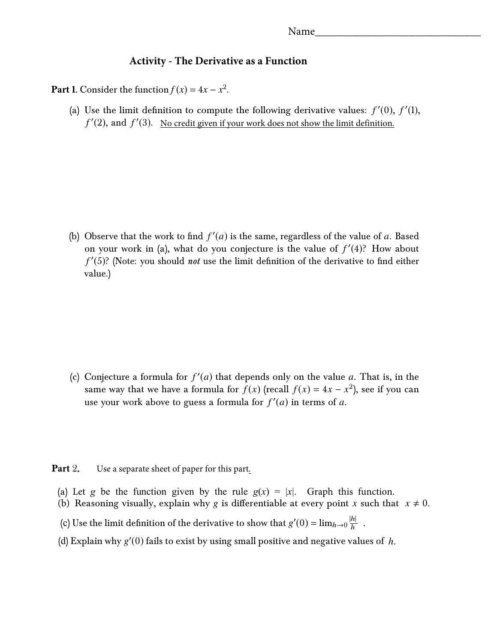## **Activity - The Derivative as a Function**

**Part 1.** Consider the function  $f(x) = 4x - x^2$ .

(a) Use the limit definition to compute the following derivative values:  $f'(0)$ ,  $f'(1)$ ,  $f'(2)$ , and  $f'(3)$ . No credit given if your work does not show the limit definition.

(b) Observe that the work to find  $f'(a)$  is the same, regardless of the value of  $a$ . Based on your work in (a), what do you conjecture is the value of  $f'(4)$ ? How about *f* 0 (5)? (Note: you should *not* use the limit definition of the derivative to find either value.)

- (c) Conjecture a formula for  $f'(a)$  that depends only on the value  $a$ . That is, in the same way that we have a formula for  $f(x)$  (recall  $f(x) = 4x - x^2$ ), see if you can use your work above to guess a formula for  $f'(a)$  in terms of  $a$ .
- **Part** 2. Use a separate sheet of paper for this part.
	- (a) Let *g* be the function given by the rule  $g(x) = |x|$ . Graph this function.
	- (b) Reasoning visually, explain why g is differentiable at every point x such that  $x \neq 0$ .
	- (c) Use the limit definition of the derivative to show that  $g'(0) = \lim_{h\to 0} \frac{|h|}{h}$  $\frac{h}{\cdot}$
	- (d) Explain why  $g'(0)$  fails to exist by using small positive and negative values of  $h$ .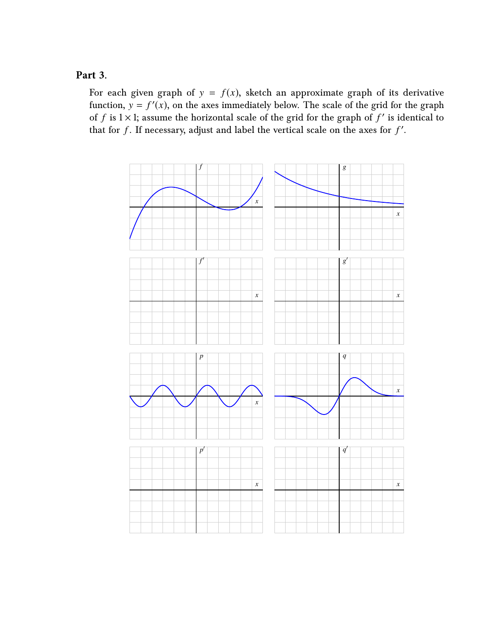## **Part 3.**

For each given graph of  $y = f(x)$ , sketch an approximate graph of its derivative function,  $y = f'(x)$ , on the axes immediately below. The scale of the grid for the graph of *f* is  $1 \times 1$ ; assume the horizontal scale of the grid for the graph of  $f'$  is identical to that for  $f$ . If necessary, adjust and label the vertical scale on the axes for  $f'$ .

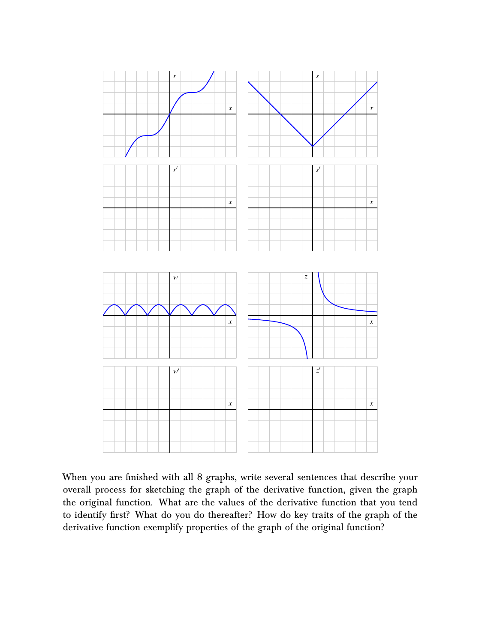

When you are finished with all 8 graphs, write several sentences that describe your overall process for sketching the graph of the derivative function, given the graph the original function. What are the values of the derivative function that you tend to identify first? What do you do thereafter? How do key traits of the graph of the derivative function exemplify properties of the graph of the original function?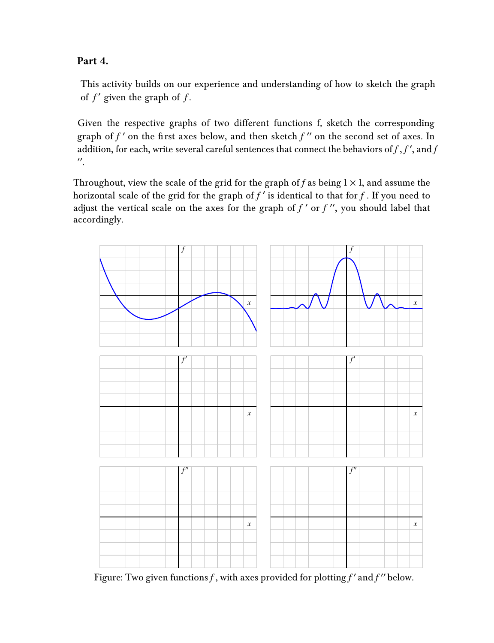## **Part 4.**

This activity builds on our experience and understanding of how to sketch the graph of  $f'$  given the graph of  $f$ .

Given the respective graphs of two different functions f, sketch the corresponding graph of  $f'$  on the first axes below, and then sketch  $f''$  on the second set of axes. In addition, for each, write several careful sentences that connect the behaviors of  $f$  ,  $f'$  , and  $f$  $\cdot$ 

Throughout, view the scale of the grid for the graph of  $f$  as being  $1 \times 1$ , and assume the horizontal scale of the grid for the graph of  $f'$  is identical to that for  $f$  . If you need to adjust the vertical scale on the axes for the graph of  $f'$  or  $f''$ , you should label that accordingly.



Figure: Two given functions  $f$  , with axes provided for plotting  $f'$  and  $f''$  below.